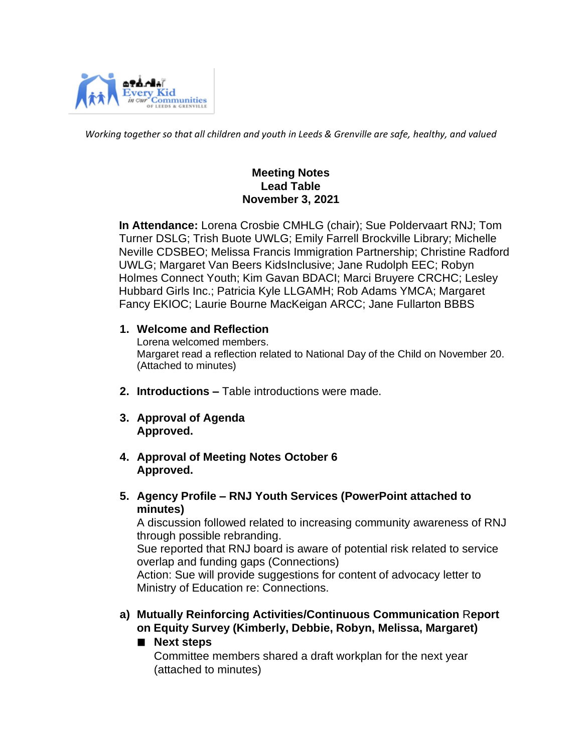

*Working together so that all children and youth in Leeds & Grenville are safe, healthy, and valued*

#### **Meeting Notes Lead Table November 3, 2021**

 **In Attendance:** Lorena Crosbie CMHLG (chair); Sue Poldervaart RNJ; Tom Turner DSLG; Trish Buote UWLG; Emily Farrell Brockville Library; Michelle Neville CDSBEO; Melissa Francis Immigration Partnership; Christine Radford UWLG; Margaret Van Beers KidsInclusive; Jane Rudolph EEC; Robyn Holmes Connect Youth; Kim Gavan BDACI; Marci Bruyere CRCHC; Lesley Hubbard Girls Inc.; Patricia Kyle LLGAMH; Rob Adams YMCA; Margaret Fancy EKIOC; Laurie Bourne MacKeigan ARCC; Jane Fullarton BBBS

#### **1. Welcome and Reflection**

Lorena welcomed members. Margaret read a reflection related to National Day of the Child on November 20. (Attached to minutes)

- **2. Introductions –** Table introductions were made.
- **3. Approval of Agenda Approved.**
- **4. Approval of Meeting Notes October 6 Approved.**
- **5. Agency Profile – RNJ Youth Services (PowerPoint attached to minutes)**

A discussion followed related to increasing community awareness of RNJ through possible rebranding.

Sue reported that RNJ board is aware of potential risk related to service overlap and funding gaps (Connections)

Action: Sue will provide suggestions for content of advocacy letter to Ministry of Education re: Connections.

- **a) Mutually Reinforcing Activities/Continuous Communication** R**eport on Equity Survey (Kimberly, Debbie, Robyn, Melissa, Margaret)**
	- **Next steps**

Committee members shared a draft workplan for the next year (attached to minutes)